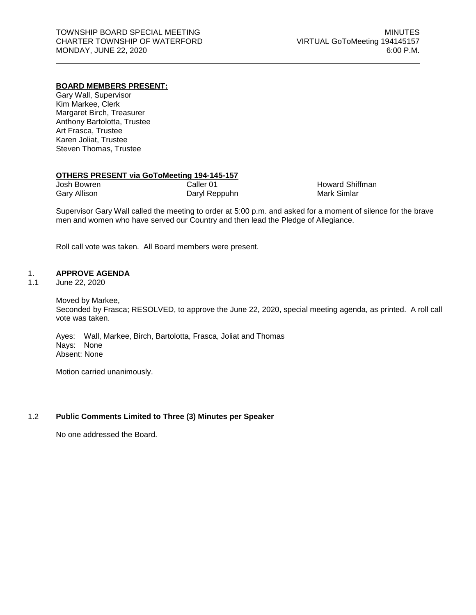# **BOARD MEMBERS PRESENT:**

Gary Wall, Supervisor Kim Markee, Clerk Margaret Birch, Treasurer Anthony Bartolotta, Trustee Art Frasca, Trustee Karen Joliat, Trustee Steven Thomas, Trustee

#### **OTHERS PRESENT via GoToMeeting 194-145-157**

| Josh Bowren  | Caller 01     |
|--------------|---------------|
| Gary Allison | Daryl Reppuhn |

Howard Shiffman Mark Simlar

Supervisor Gary Wall called the meeting to order at 5:00 p.m. and asked for a moment of silence for the brave men and women who have served our Country and then lead the Pledge of Allegiance.

Roll call vote was taken. All Board members were present.

## 1. **APPROVE AGENDA**

1.1 June 22, 2020

Moved by Markee, Seconded by Frasca; RESOLVED, to approve the June 22, 2020, special meeting agenda, as printed. A roll call vote was taken.

Ayes: Wall, Markee, Birch, Bartolotta, Frasca, Joliat and Thomas Nays: None Absent: None

Motion carried unanimously.

### 1.2 **Public Comments Limited to Three (3) Minutes per Speaker**

No one addressed the Board.